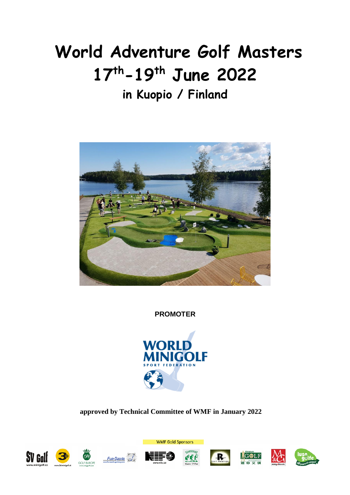# **World Adventure Golf Masters 17th-19th June 2022**

# **in Kuopio / Finland**



**PROMOTER**



**approved by Technical Committee of WMF in January 2022**





Fun-Sports









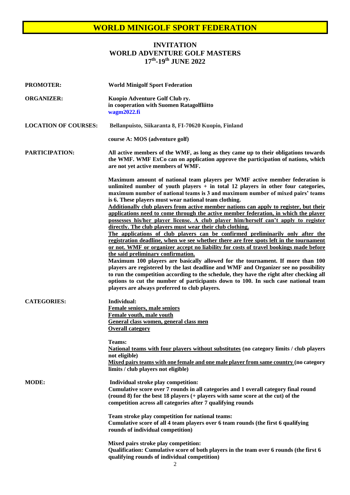#### **INVITATION WORLD ADVENTURE GOLF MASTERS 17th -19th JUNE 2022**

| <b>PROMOTER:</b>            | <b>World Minigolf Sport Federation</b>                                                                                                                                                                                                                                                                                                                                                                                                                                                                                                                                                                                                                                                                                                                                                                                                                                                                                                                                                                                                                                                                                                                                                                                                                                                                                                                                   |
|-----------------------------|--------------------------------------------------------------------------------------------------------------------------------------------------------------------------------------------------------------------------------------------------------------------------------------------------------------------------------------------------------------------------------------------------------------------------------------------------------------------------------------------------------------------------------------------------------------------------------------------------------------------------------------------------------------------------------------------------------------------------------------------------------------------------------------------------------------------------------------------------------------------------------------------------------------------------------------------------------------------------------------------------------------------------------------------------------------------------------------------------------------------------------------------------------------------------------------------------------------------------------------------------------------------------------------------------------------------------------------------------------------------------|
| <b>ORGANIZER:</b>           | Kuopio Adventure Golf Club ry.<br>in cooperation with Suomen Ratagolfliitto<br>wagm2022.fi                                                                                                                                                                                                                                                                                                                                                                                                                                                                                                                                                                                                                                                                                                                                                                                                                                                                                                                                                                                                                                                                                                                                                                                                                                                                               |
| <b>LOCATION OF COURSES:</b> | Bellanpuisto, Siikaranta 8, FI-70620 Kuopio, Finland                                                                                                                                                                                                                                                                                                                                                                                                                                                                                                                                                                                                                                                                                                                                                                                                                                                                                                                                                                                                                                                                                                                                                                                                                                                                                                                     |
|                             | course A: MOS (adventure golf)                                                                                                                                                                                                                                                                                                                                                                                                                                                                                                                                                                                                                                                                                                                                                                                                                                                                                                                                                                                                                                                                                                                                                                                                                                                                                                                                           |
| <b>PARTICIPATION:</b>       | All active members of the WMF, as long as they came up to their obligations towards<br>the WMF. WMF ExCo can on application approve the participation of nations, which<br>are not yet active members of WMF.                                                                                                                                                                                                                                                                                                                                                                                                                                                                                                                                                                                                                                                                                                                                                                                                                                                                                                                                                                                                                                                                                                                                                            |
|                             | Maximum amount of national team players per WMF active member federation is<br>unlimited number of youth players $+$ in total 12 players in other four categories,<br>maximum number of national teams is 3 and maximum number of mixed pairs' teams<br>is 6. These players must wear national team clothing.<br>Additionally club players from active member nations can apply to register, but their<br>applications need to come through the active member federation, in which the player<br>possesses his/her player license. A club player him/herself can't apply to register<br>directly. The club players must wear their club clothing.<br>The applications of club players can be confirmed preliminarily only after the<br>registration deadline, when we see whether there are free spots left in the tournament<br>or not. WMF or organizer accept no liability for costs of travel bookings made before<br>the said preliminary confirmation.<br>Maximum 100 players are basically allowed for the tournament. If more than 100<br>players are registered by the last deadline and WMF and Organizer see no possibility<br>to run the competition according to the schedule, they have the right after checking all<br>options to cut the number of participants down to 100. In such case national team<br>players are always preferred to club players. |
| <b>CATEGORIES:</b>          | Individual:<br>Female seniors, male seniors<br>Female youth, male youth<br>General class women, general class men<br><b>Overall category</b><br><b>Teams:</b><br>National teams with four players without substitutes (no category limits / club players<br>not eligible)<br>Mixed pairs teams with one female and one male player from same country (no category<br>limits / club players not eligible)                                                                                                                                                                                                                                                                                                                                                                                                                                                                                                                                                                                                                                                                                                                                                                                                                                                                                                                                                                 |
| <b>MODE:</b>                | Individual stroke play competition:<br>Cumulative score over 7 rounds in all categories and 1 overall category final round<br>(round 8) for the best 18 players (+ players with same score at the cut) of the<br>competition across all categories after 7 qualifying rounds<br>Team stroke play competition for national teams:<br>Cumulative score of all 4 team players over 6 team rounds (the first 6 qualifying<br>rounds of individual competition)<br>Mixed pairs stroke play competition:                                                                                                                                                                                                                                                                                                                                                                                                                                                                                                                                                                                                                                                                                                                                                                                                                                                                       |
|                             | Qualification: Cumulative score of both players in the team over 6 rounds (the first 6<br>qualifying rounds of individual competition)<br>$\gamma$                                                                                                                                                                                                                                                                                                                                                                                                                                                                                                                                                                                                                                                                                                                                                                                                                                                                                                                                                                                                                                                                                                                                                                                                                       |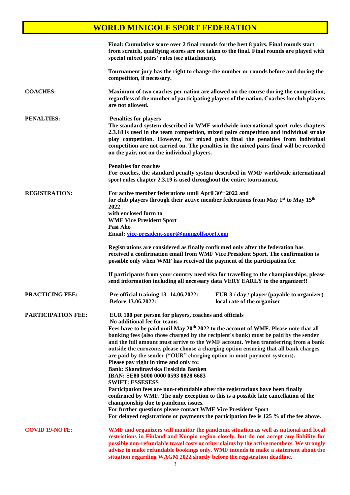|                           | Final: Cumulative score over 2 final rounds for the best 8 pairs. Final rounds start<br>special mixed pairs' rules (see attachment).                                                                                                                                                                                                                                                                                                                                                                                                                                                                       | from scratch, qualifying scores are not taken to the final. Final rounds are played with                                                                                                                                                                                                                                                                                                                                                                        |
|---------------------------|------------------------------------------------------------------------------------------------------------------------------------------------------------------------------------------------------------------------------------------------------------------------------------------------------------------------------------------------------------------------------------------------------------------------------------------------------------------------------------------------------------------------------------------------------------------------------------------------------------|-----------------------------------------------------------------------------------------------------------------------------------------------------------------------------------------------------------------------------------------------------------------------------------------------------------------------------------------------------------------------------------------------------------------------------------------------------------------|
|                           | competition, if necessary.                                                                                                                                                                                                                                                                                                                                                                                                                                                                                                                                                                                 | Tournament jury has the right to change the number or rounds before and during the                                                                                                                                                                                                                                                                                                                                                                              |
| <b>COACHES:</b>           | are not allowed.                                                                                                                                                                                                                                                                                                                                                                                                                                                                                                                                                                                           | Maximum of two coaches per nation are allowed on the course during the competition,<br>regardless of the number of participating players of the nation. Coaches for club players                                                                                                                                                                                                                                                                                |
| <b>PENALTIES:</b>         | <b>Penalties for players</b><br>on the pair, not on the individual players.                                                                                                                                                                                                                                                                                                                                                                                                                                                                                                                                | The standard system described in WMF worldwide international sport rules chapters<br>2.3.18 is used in the team competition, mixed pairs competition and individual stroke<br>play competition. However, for mixed pairs final the penalties from individual<br>competition are not carried on. The penalties in the mixed pairs final will be recorded                                                                                                         |
|                           | <b>Penalties for coaches</b><br>sport rules chapter 2.3.19 is used throughout the entire tournament.                                                                                                                                                                                                                                                                                                                                                                                                                                                                                                       | For coaches, the standard penalty system described in WMF worldwide international                                                                                                                                                                                                                                                                                                                                                                               |
| <b>REGISTRATION:</b>      | For active member federations until April 30 <sup>th</sup> 2022 and<br>for club players through their active member federations from May 1 <sup>st</sup> to May 15 <sup>th</sup><br>2022<br>with enclosed form to<br><b>WMF Vice President Sport</b><br>Pasi Aho<br>Email: vice-president-sport@minigolfsport.com                                                                                                                                                                                                                                                                                          |                                                                                                                                                                                                                                                                                                                                                                                                                                                                 |
|                           | Registrations are considered as finally confirmed only after the federation has<br>possible only when WMF has received the payment of the participation fee.                                                                                                                                                                                                                                                                                                                                                                                                                                               | received a confirmation email from WMF Vice President Sport. The confirmation is                                                                                                                                                                                                                                                                                                                                                                                |
|                           | If participants from your country need visa for travelling to the championships, please<br>send information including all necessary data VERY EARLY to the organizer!!                                                                                                                                                                                                                                                                                                                                                                                                                                     |                                                                                                                                                                                                                                                                                                                                                                                                                                                                 |
| <b>PRACTICING FEE:</b>    | Pre official training 13.-14.06.2022:<br>Before 13.06.2022:                                                                                                                                                                                                                                                                                                                                                                                                                                                                                                                                                | EUR 3 / day / player (payable to organizer)<br>local rate of the organizer                                                                                                                                                                                                                                                                                                                                                                                      |
| <b>PARTICIPATION FEE:</b> | EUR 100 per person for players, coaches and officials<br>No additional fee for teams<br>are paid by the sender ("OUR" charging option in most payment systems).<br>Please pay right in time and only to:<br><b>Bank: Skandinaviska Enskilda Banken</b><br>IBAN: SE80 5000 0000 0593 0828 6683<br><b>SWIFT: ESSESESS</b><br>Participation fees are non-refundable after the registrations have been finally<br>confirmed by WMF. The only exception to this is a possible late cancellation of the<br>championship due to pandemic issues.<br>For further questions please contact WMF Vice President Sport | Fees have to be paid until May 20 <sup>th</sup> 2022 to the account of WMF. Please note that all<br>banking fees (also those charged by the recipient's bank) must be paid by the sender<br>and the full amount must arrive to the WMF account. When transferring from a bank<br>outside the eurozone, please choose a charging option ensuring that all bank charges<br>For delayed registrations or payments the participation fee is 125 % of the fee above. |
| <b>COVID 19-NOTE:</b>     | situation regarding WAGM 2022 shortly before the registration deadline.                                                                                                                                                                                                                                                                                                                                                                                                                                                                                                                                    | WMF and organizers will monitor the pandemic situation as well as national and local<br>restrictions in Finland and Kuopio region closely, but do not accept any liability for<br>possible non-refundable travel costs or other claims by the active members. We strongly<br>advise to make refundable bookings only. WMF intends to make a statement about the                                                                                                 |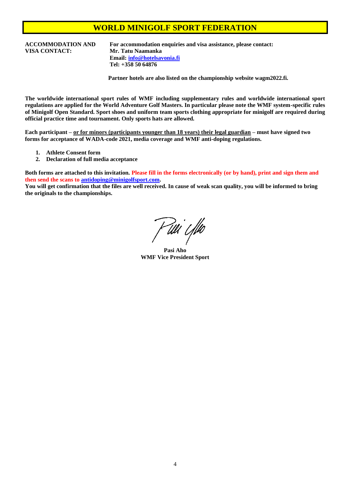**VISA CONTACT: Mr. Tatu Naamanka**

**ACCOMMODATION AND For accommodation enquiries and visa assistance, please contact: Email: [info@hotelsavonia.fi](mailto:info@hotelsavonia.fi) Tel: +358 50 64876**

**Partner hotels are also listed on the championship website wagm2022.fi.**

**The worldwide international sport rules of WMF including supplementary rules and worldwide international sport regulations are applied for the World Adventure Golf Masters. In particular please note the WMF system-specific rules of Minigolf Open Standard. Sport shoes and uniform team sports clothing appropriate for minigolf are required during official practice time and tournament. Only sports hats are allowed.**

**Each participant – or for minors (participants younger than 18 years) their legal guardian – must have signed two forms for acceptance of WADA-code 2021, media coverage and WMF anti-doping regulations.**

- **1. Athlete Consent form**
- **2. Declaration of full media acceptance**

**Both forms are attached to this invitation. Please fill in the forms electronically (or by hand), print and sign them and then send the scans to [antidoping@minigolfsport.com.](mailto:antidoping@minigolfsport.com)**

**You will get confirmation that the files are well received. In cause of weak scan quality, you will be informed to bring the originals to the championships.**

F tili i fiko

**Pasi Aho WMF Vice President Sport**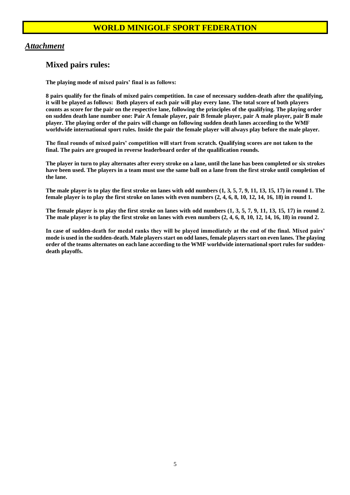#### *Attachment*

#### **Mixed pairs rules:**

**The playing mode of mixed pairs' final is as follows:**

**8 pairs qualify for the finals of mixed pairs competition. In case of necessary sudden-death after the qualifying, it will be played as follows: Both players of each pair will play every lane. The total score of both players counts as score for the pair on the respective lane, following the principles of the qualifying. The playing order on sudden death lane number one: Pair A female player, pair B female player, pair A male player, pair B male player. The playing order of the pairs will change on following sudden death lanes according to the WMF worldwide international sport rules. Inside the pair the female player will always play before the male player.**

**The final rounds of mixed pairs' competition will start from scratch. Qualifying scores are not taken to the final. The pairs are grouped in reverse leaderboard order of the qualification rounds.**

**The player in turn to play alternates after every stroke on a lane, until the lane has been completed or six strokes have been used. The players in a team must use the same ball on a lane from the first stroke until completion of the lane.**

**The male player is to play the first stroke on lanes with odd numbers (1, 3, 5, 7, 9, 11, 13, 15, 17) in round 1. The female player is to play the first stroke on lanes with even numbers (2, 4, 6, 8, 10, 12, 14, 16, 18) in round 1.**

**The female player is to play the first stroke on lanes with odd numbers (1, 3, 5, 7, 9, 11, 13, 15, 17) in round 2. The male player is to play the first stroke on lanes with even numbers (2, 4, 6, 8, 10, 12, 14, 16, 18) in round 2.**

**In case of sudden-death for medal ranks they will be played immediately at the end of the final. Mixed pairs' mode is used in the sudden-death. Male players start on odd lanes, female players start on even lanes. The playing order of the teams alternates on each lane according to the WMF worldwide international sport rules for suddendeath playoffs.**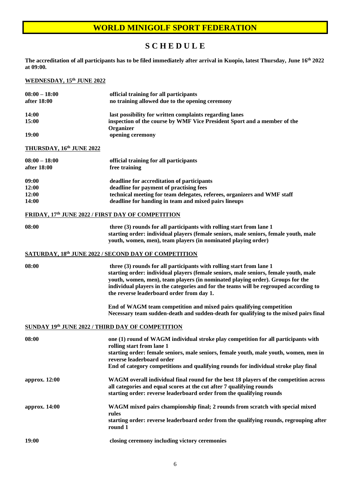# **S C H E D U L E**

**The accreditation of all participants has to be filed immediately after arrival in Kuopio, latest Thursday, June 16 th 2022 at 09:00.**

#### **WEDNESDAY, 15th JUNE 2022**

| $08:00 - 18:00$<br>after 18:00                    | official training for all participants<br>no training allowed due to the opening ceremony                                                                                                                                                                                                                                                                                           |
|---------------------------------------------------|-------------------------------------------------------------------------------------------------------------------------------------------------------------------------------------------------------------------------------------------------------------------------------------------------------------------------------------------------------------------------------------|
| <b>14:00</b><br>15:00                             | last possibility for written complaints regarding lanes<br>inspection of the course by WMF Vice President Sport and a member of the<br>Organizer                                                                                                                                                                                                                                    |
| 19:00                                             | opening ceremony                                                                                                                                                                                                                                                                                                                                                                    |
| <b>THURSDAY, 16th JUNE 2022</b>                   |                                                                                                                                                                                                                                                                                                                                                                                     |
| $08:00 - 18:00$<br>after 18:00                    | official training for all participants<br>free training                                                                                                                                                                                                                                                                                                                             |
| 09:00<br>12:00<br>12:00<br>14:00                  | deadline for accreditation of participants<br>deadline for payment of practising fees<br>technical meeting for team delegates, referees, organizers and WMF staff<br>deadline for handing in team and mixed pairs lineups                                                                                                                                                           |
| FRIDAY, 17th JUNE 2022 / FIRST DAY OF COMPETITION |                                                                                                                                                                                                                                                                                                                                                                                     |
| 08:00                                             | three (3) rounds for all participants with rolling start from lane 1<br>starting order: individual players (female seniors, male seniors, female youth, male<br>youth, women, men), team players (in nominated playing order)                                                                                                                                                       |
|                                                   | <b>SATURDAY, 18th JUNE 2022 / SECOND DAY OF COMPETITION</b>                                                                                                                                                                                                                                                                                                                         |
| 08:00                                             | three (3) rounds for all participants with rolling start from lane 1<br>starting order: individual players (female seniors, male seniors, female youth, male<br>youth, women, men), team players (in nominated playing order). Groups for the<br>individual players in the categories and for the teams will be regrouped according to<br>the reverse leaderboard order from day 1. |
|                                                   | End of WAGM team competition and mixed pairs qualifying competition<br>Necessary team sudden-death and sudden-death for qualifying to the mixed pairs final                                                                                                                                                                                                                         |
| SUNDAY 19th JUNE 2022 / THIRD DAY OF COMPETITION  |                                                                                                                                                                                                                                                                                                                                                                                     |
| 08:00                                             | one (1) round of WAGM individual stroke play competition for all participants with<br>rolling start from lane 1<br>starting order: female seniors, male seniors, female youth, male youth, women, men in<br>reverse leaderboard order<br>End of category competitions and qualifying rounds for individual stroke play final                                                        |
| approx. 12:00                                     | WAGM overall individual final round for the best 18 players of the competition across<br>all categories and equal scores at the cut after 7 qualifying rounds<br>starting order: reverse leaderboard order from the qualifying rounds                                                                                                                                               |
| approx. 14:00                                     | WAGM mixed pairs championship final; 2 rounds from scratch with special mixed<br>rules<br>starting order: reverse leaderboard order from the qualifying rounds, regrouping after<br>round 1                                                                                                                                                                                         |
| 19:00                                             | closing ceremony including victory ceremonies                                                                                                                                                                                                                                                                                                                                       |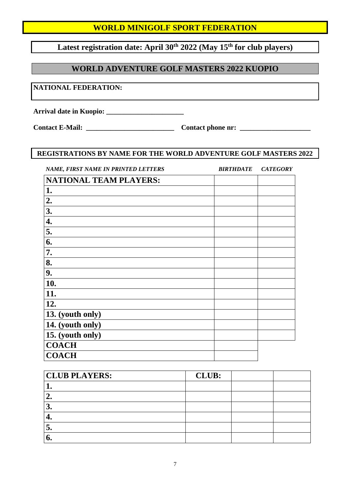**Latest registration date: April 30th 2022 (May 15th for club players)**

# **WORLD ADVENTURE GOLF MASTERS 2022 KUOPIO**

**NATIONAL FEDERATION:**

**Arrival date in Kuopio: \_\_\_\_\_\_\_\_\_\_\_\_\_\_\_\_\_\_\_\_\_\_**

**Contact E-Mail: \_\_\_\_\_\_\_\_\_\_\_\_\_\_\_\_\_\_\_\_\_\_\_\_\_ Contact phone nr: \_\_\_\_\_\_\_\_\_\_\_\_\_\_\_\_\_\_\_\_**

#### **REGISTRATIONS BY NAME FOR THE WORLD ADVENTURE GOLF MASTERS 2022**

| NAME, FIRST NAME IN PRINTED LETTERS | <b>BIRTHDATE</b> | <b>CATEGORY</b> |
|-------------------------------------|------------------|-----------------|
| <b>NATIONAL TEAM PLAYERS:</b>       |                  |                 |
| 1.                                  |                  |                 |
| 2.                                  |                  |                 |
| 3.                                  |                  |                 |
| 4.                                  |                  |                 |
| 5.                                  |                  |                 |
| 6.                                  |                  |                 |
| 7.                                  |                  |                 |
| 8.                                  |                  |                 |
| 9.                                  |                  |                 |
| 10.                                 |                  |                 |
| 11.                                 |                  |                 |
| 12.                                 |                  |                 |
| 13. (youth only)                    |                  |                 |
| 14. (youth only)                    |                  |                 |
| 15. (youth only)                    |                  |                 |
| <b>COACH</b>                        |                  |                 |
| <b>COACH</b>                        |                  |                 |

| <b>CLUB PLAYERS:</b> | <b>CLUB:</b> |  |
|----------------------|--------------|--|
|                      |              |  |
|                      |              |  |
| J.                   |              |  |
|                      |              |  |
| J.                   |              |  |
| v.                   |              |  |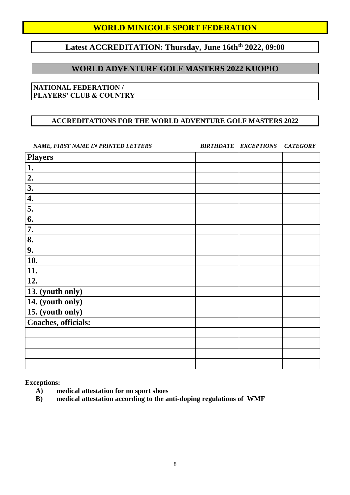# **Latest ACCREDITATION: Thursday, June 16thth 2022, 09:00**

#### **WORLD ADVENTURE GOLF MASTERS 2022 KUOPIO**

#### **NATIONAL FEDERATION / PLAYERS' CLUB & COUNTRY**

#### **ACCREDITATIONS FOR THE WORLD ADVENTURE GOLF MASTERS 2022**

*NAME, FIRST NAME IN PRINTED LETTERS BIRTHDATE EXCEPTIONS CATEGORY*

| <b>Players</b>      |  |  |
|---------------------|--|--|
| 1.                  |  |  |
| 2.                  |  |  |
| 3.                  |  |  |
| 4.                  |  |  |
| 5.                  |  |  |
| 6.                  |  |  |
| 7.                  |  |  |
| 8.                  |  |  |
| 9.                  |  |  |
| 10.                 |  |  |
| 11.                 |  |  |
| 12.                 |  |  |
| 13. (youth only)    |  |  |
| 14. (youth only)    |  |  |
| 15. (youth only)    |  |  |
| Coaches, officials: |  |  |
|                     |  |  |
|                     |  |  |
|                     |  |  |
|                     |  |  |

**Exceptions:**

- **A) medical attestation for no sport shoes**
- **B) medical attestation according to the anti-doping regulations of WMF**